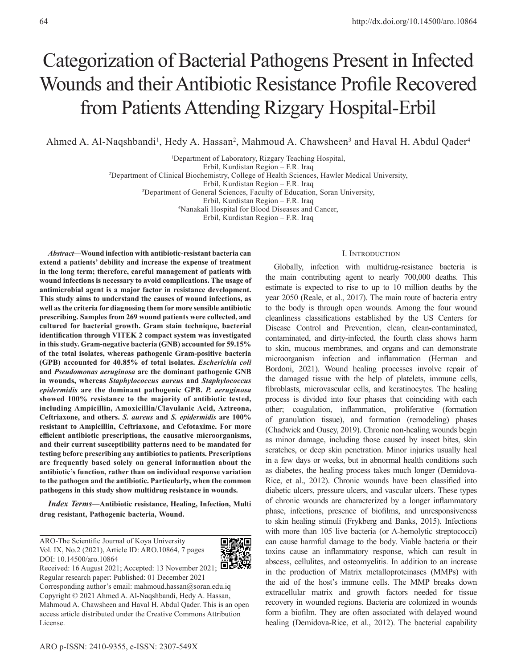# Categorization of Bacterial Pathogens Present in Infected Wounds and their Antibiotic Resistance Profile Recovered from Patients Attending Rizgary Hospital-Erbil

Ahmed A. Al-Naqshbandi<sup>1</sup>, Hedy A. Hassan<sup>2</sup>, Mahmoud A. Chawsheen<sup>3</sup> and Haval H. Abdul Qader<sup>4</sup>

1 Department of Laboratory, Rizgary Teaching Hospital,

Erbil, Kurdistan Region – F.R. Iraq

2 Department of Clinical Biochemistry, College of Health Sciences, Hawler Medical University,

Erbil, Kurdistan Region – F.R. Iraq

3 Department of General Sciences, Faculty of Education, Soran University,

Erbil, Kurdistan Region – F.R. Iraq

4 Nanakali Hospital for Blood Diseases and Cancer,

Erbil, Kurdistan Region – F.R. Iraq

*Abstract—***Wound infection with antibiotic-resistant bacteria can extend a patients' debility and increase the expense of treatment in the long term; therefore, careful management of patients with wound infections is necessary to avoid complications. The usage of antimicrobial agent is a major factor in resistance development. This study aims to understand the causes of wound infections, as well as the criteria for diagnosing them for more sensible antibiotic prescribing. Samples from 269 wound patients were collected, and cultured for bacterial growth. Gram stain technique, bacterial identification through VITEK 2 compact system was investigated in this study. Gram-negative bacteria (GNB) accounted for 59.15% of the total isolates, whereas pathogenic Gram-positive bacteria (GPB) accounted for 40.85% of total isolates.** *Escherichia coli*  **and** *Pseudomonas aeruginosa* **are the dominant pathogenic GNB in wounds, whereas** *Staphylococcus aureus* **and** *Staphylococcus epidermidis* **are the dominant pathogenic GPB.** *P. aeruginosa*  **showed 100% resistance to the majority of antibiotic tested, including Ampicillin, Amoxicillin/Clavulanic Acid, Aztreona, Ceftriaxone, and others.** *S. aureus* **and** *S. epidermidis* **are 100% resistant to Ampicillin, Ceftriaxone, and Cefotaxime. For more efficient antibiotic prescriptions, the causative microorganisms, and their current susceptibility patterns need to be mandated for testing before prescribing any antibiotics to patients. Prescriptions are frequently based solely on general information about the antibiotic's function, rather than on individual response variation to the pathogen and the antibiotic. Particularly, when the common pathogens in this study show multidrug resistance in wounds.**

*Index Terms***—Antibiotic resistance, Healing, Infection, Multi drug resistant, Pathogenic bacteria, Wound.**

ARO-The Scientific Journal of Koya University Vol. IX, No.2 (2021), Article ID: ARO.10864, 7 pages DOI: 10.14500/aro.10864



Received: 16 August 2021; Accepted: 13 November 2021;  $\Box \Box$ Regular research paper: Published: 01 December 2021 Corresponding author's email: mahmoud.hassan@soran.edu.iq Copyright © 2021 Ahmed A. Al-Naqshbandi, Hedy A. Hassan, Mahmoud A. Chawsheen and Haval H. Abdul Qader. This is an open access article distributed under the [Creative Commons Attribution](https://creativecommons.org/licenses/by-nc-sa/4.0/)  [License.](https://creativecommons.org/licenses/by-nc-sa/4.0/)

#### I. Introduction

Globally, infection with multidrug-resistance bacteria is the main contributing agent to nearly 700,000 deaths. This estimate is expected to rise to up to 10 million deaths by the year 2050 (Reale, et al., 2017). The main route of bacteria entry to the body is through open wounds. Among the four wound cleanliness classifications established by the US Centers for Disease Control and Prevention, clean, clean-contaminated, contaminated, and dirty-infected, the fourth class shows harm to skin, mucous membranes, and organs and can demonstrate microorganism infection and inflammation (Herman and Bordoni, 2021). Wound healing processes involve repair of the damaged tissue with the help of platelets, immune cells, fibroblasts, microvascular cells, and keratinocytes. The healing process is divided into four phases that coinciding with each other; coagulation, inflammation, proliferative (formation of granulation tissue), and formation (remodeling) phases (Chadwick and Ousey, 2019). Chronic non-healing wounds begin as minor damage, including those caused by insect bites, skin scratches, or deep skin penetration. Minor injuries usually heal in a few days or weeks, but in abnormal health conditions such as diabetes, the healing process takes much longer (Demidova-Rice, et al., 2012). Chronic wounds have been classified into diabetic ulcers, pressure ulcers, and vascular ulcers. These types of chronic wounds are characterized by a longer inflammatory phase, infections, presence of biofilms, and unresponsiveness to skin healing stimuli (Frykberg and Banks, 2015). Infections with more than 105 live bacteria (or A-hemolytic streptococci) can cause harmful damage to the body. Viable bacteria or their toxins cause an inflammatory response, which can result in abscess, cellulites, and osteomyelitis. In addition to an increase in the production of Matrix metalloproteinases (MMPs) with the aid of the host's immune cells. The MMP breaks down extracellular matrix and growth factors needed for tissue recovery in wounded regions. Bacteria are colonized in wounds form a biofilm. They are often associated with delayed wound healing (Demidova-Rice, et al., 2012). The bacterial capability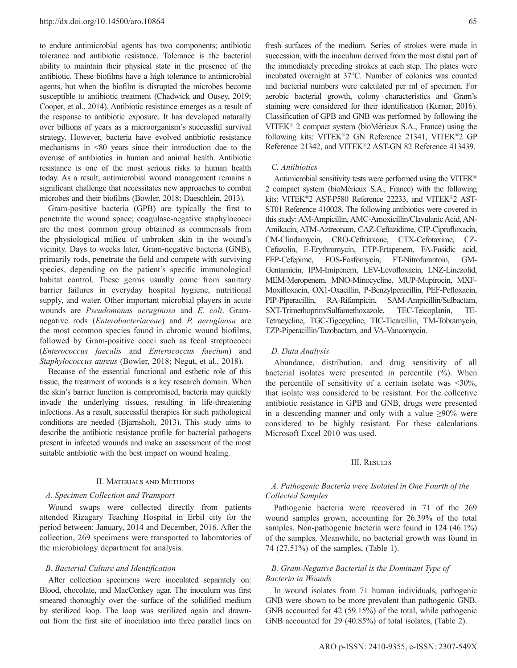to endure antimicrobial agents has two components; antibiotic tolerance and antibiotic resistance. Tolerance is the bacterial ability to maintain their physical state in the presence of the antibiotic. These biofilms have a high tolerance to antimicrobial agents, but when the biofilm is disrupted the microbes become susceptible to antibiotic treatment (Chadwick and Ousey, 2019; Cooper, et al., 2014). Antibiotic resistance emerges as a result of the response to antibiotic exposure. It has developed naturally over billions of years as a microorganism's successful survival strategy. However, bacteria have evolved antibiotic resistance mechanisms in <80 years since their introduction due to the overuse of antibiotics in human and animal health. Antibiotic resistance is one of the most serious risks to human health today. As a result, antimicrobial wound management remains a significant challenge that necessitates new approaches to combat microbes and their biofilms (Bowler, 2018; Daeschlein, 2013).

Gram-positive bacteria (GPB) are typically the first to penetrate the wound space; coagulase-negative staphylococci are the most common group obtained as commensals from the physiological milieu of unbroken skin in the wound's vicinity. Days to weeks later, Gram-negative bacteria (GNB), primarily rods, penetrate the field and compete with surviving species, depending on the patient's specific immunological habitat control. These germs usually come from sanitary barrier failures in everyday hospital hygiene, nutritional supply, and water. Other important microbial players in acute wounds are *Pseudomonas aeruginosa* and *E. coli*. Gramnegative rods (*Enterobacteriaceae*) and *P. aeruginosa* are the most common species found in chronic wound biofilms, followed by Gram-positive cocci such as fecal streptococci (*Enterococcus faecalis* and *Enterococcus faecium*) and *Staphylococcus aureus* (Bowler, 2018; Negut, et al., 2018).

Because of the essential functional and esthetic role of this tissue, the treatment of wounds is a key research domain. When the skin's barrier function is compromised, bacteria may quickly invade the underlying tissues, resulting in life-threatening infections. As a result, successful therapies for such pathological conditions are needed (Bjarnsholt, 2013). This study aims to describe the antibiotic resistance profile for bacterial pathogens present in infected wounds and make an assessment of the most suitable antibiotic with the best impact on wound healing.

## II. Materials and Methods

## *A. Specimen Collection and Transport*

Wound swaps were collected directly from patients attended Rizagary Teaching Hospital in Erbil city for the period between: January, 2014 and December, 2016. After the collection, 269 specimens were transported to laboratories of the microbiology department for analysis.

## *B. Bacterial Culture and Identification*

After collection specimens were inoculated separately on: Blood, chocolate, and MacConkey agar. The inoculum was first smeared thoroughly over the surface of the solidified medium by sterilized loop. The loop was sterilized again and drawnout from the first site of inoculation into three parallel lines on

fresh surfaces of the medium. Series of strokes were made in succession, with the inoculum derived from the most distal part of the immediately preceding strokes at each step. The plates were incubated overnight at 37°C. Number of colonies was counted and bacterial numbers were calculated per ml of specimen. For aerobic bacterial growth, colony characteristics and Gram's staining were considered for their identification (Kumar, 2016). Classification of GPB and GNB was performed by following the VITEK® 2 compact system (bioMérieux S.A., France) using the following kits: VITEK®2 GN Reference 21341, VITEK®2 GP Reference 21342, and VITEK®2 AST-GN 82 Reference 413439.

## *C. Antibiotics*

Antimicrobial sensitivity tests were performed using the VITEK® 2 compact system (bioMérieux S.A., France) with the following kits: VITEK®2 AST-P580 Reference 22233, and VITEK®2 AST-ST01 Reference 410028. The following antibiotics were covered in this study: AM-Ampicillin, AMC-Amoxicillin/Clavulanic Acid, AN-Amikacin, ATM-Aztreonam, CAZ-Ceftazidime, CIP-Ciprofloxacin, CM-Clindamycin, CRO-Ceftriaxone, CTX-Cefotaxime, CZ-Cefazolin, E-Erythromycin, ETP-Ertapenem, FA-Fusidic acid, FEP-Cefepime, FOS-Fosfomycin, FT-Nitrofurantoin, GM-Gentamicin, IPM-Imipenem, LEV-Levofloxacin, LNZ-Linezolid, MEM-Meropenem, MNO-Minocycline, MUP-Mupirocin, MXF-Moxifloxacin, OX1-Oxacillin, P-Benzylpenicillin, PEF-Pefloxacin, PIP-Piperacillin, RA-Rifampicin, SAM-Ampicillin/Sulbactam, SXT-Trimethoprim/Sulfamethoxazole, TEC-Teicoplanin, TE-Tetracycline, TGC-Tigecycline, TIC-Ticarcillin, TM-Tobramycin, TZP-Piperacillin/Tazobactam, and VA-Vancomycin.

#### *D. Data Analysis*

Abundance, distribution, and drug sensitivity of all bacterial isolates were presented in percentile (%). When the percentile of sensitivity of a certain isolate was  $\langle 30\%,$ that isolate was considered to be resistant. For the collective antibiotic resistance in GPB and GNB, drugs were presented in a descending manner and only with a value ≥90% were considered to be highly resistant. For these calculations Microsoft Excel 2010 was used.

## III. Results

## *A. Pathogenic Bacteria were Isolated in One Fourth of the Collected Samples*

Pathogenic bacteria were recovered in 71 of the 269 wound samples grown, accounting for 26.39% of the total samples. Non-pathogenic bacteria were found in 124 (46.1%) of the samples. Meanwhile, no bacterial growth was found in 74 (27.51%) of the samples, (Table 1).

# *B. Gram-Negative Bacterial is the Dominant Type of Bacteria in Wounds*

In wound isolates from 71 human individuals, pathogenic GNB were shown to be more prevalent than pathogenic GNB. GNB accounted for 42 (59.15%) of the total, while pathogenic GNB accounted for 29 (40.85%) of total isolates, (Table 2).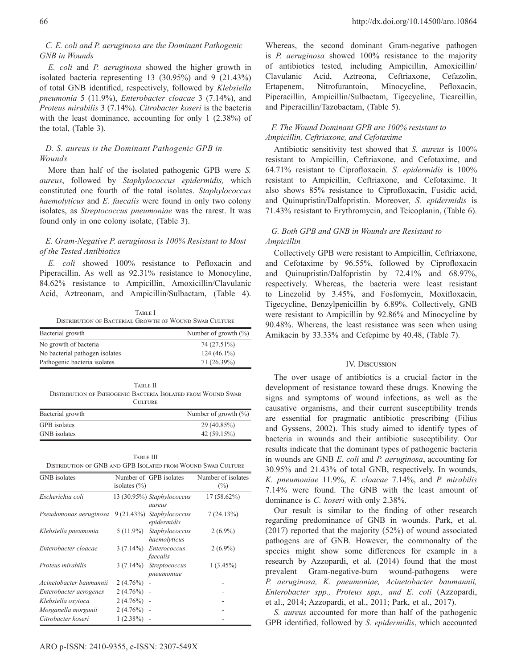# *C. E. coli and P. aeruginosa are the Dominant Pathogenic GNB in Wounds*

*E. coli* and *P. aeruginosa* showed the higher growth in isolated bacteria representing 13 (30.95%) and 9 (21.43%) of total GNB identified, respectively, followed by *Klebsiella pneumonia* 5 (11.9%), *Enterobacter cloacae* 3 (7.14%), and *Proteus mirabilis* 3 (7.14%). *Citrobacter koseri* is the bacteria with the least dominance, accounting for only 1 (2.38%) of the total, (Table 3).

# *D. S. aureus is the Dominant Pathogenic GPB in Wounds*

More than half of the isolated pathogenic GPB were *S. aureus*, followed by *Staphylococcus epidermidis,* which constituted one fourth of the total isolates. *Staphylococcus haemolyticus* and *E. faecalis* were found in only two colony isolates, as *Streptococcus pneumoniae* was the rarest. It was found only in one colony isolate, (Table 3).

# *E. Gram-Negative P. aeruginosa is 100% Resistant to Most of the Tested Antibiotics*

*E. coli* showed 100% resistance to Pefloxacin and Piperacillin. As well as 92.31% resistance to Monocyline, 84.62% resistance to Ampicillin, Amoxicillin/Clavulanic Acid, Aztreonam, and Ampicillin/Sulbactam, (Table 4).

TABLE I Distribution of Bacterial Growth of Wound Swab Culture

| No growth of bacteria<br>No bacterial pathogen isolates | Number of growth $(\% )$ |  |  |
|---------------------------------------------------------|--------------------------|--|--|
|                                                         | 74 (27.51%)              |  |  |
|                                                         | $124(46.1\%)$            |  |  |
| Pathogenic bacteria isolates                            | 71 (26.39%)              |  |  |

| TARLE II                                                            |
|---------------------------------------------------------------------|
| <b>DISTRIBUTION OF PATHOGENIC BACTERIA ISOLATED FROM WOUND SWAB</b> |
| <b>CULTURE</b>                                                      |

| Bacterial growth | Number of growth $(\%)$ |
|------------------|-------------------------|
| GPB isolates     | 29 (40.85%)             |
| GNB isolates     | 42(59.15%)              |

| TARLE III                                                    |
|--------------------------------------------------------------|
| DISTRIBUTION OF GNB AND GPB ISOLATED FROM WOUND SWAB CULTURE |

| <b>GNB</b> isolates     | isolates $(\% )$ | Number of GPB isolates                   | Number of isolates<br>$(\%)$ |
|-------------------------|------------------|------------------------------------------|------------------------------|
| Escherichia coli        |                  | 13 (30.95%) Staphylococcus<br>aureus     | $17(58.62\%)$                |
| Pseudomonas aeruginosa  |                  | 9 (21.43%) Staphylococcus<br>epidermidis | 7(24.13%)                    |
| Klebsiella pneumonia    | 5 (11.9%)        | Staphylococcus<br>haemolyticus           | $2(6.9\%)$                   |
| Enterobacter cloacae    | $3(7.14\%)$      | Enterococcus<br>faecalis                 | $2(6.9\%)$                   |
| Proteus mirabilis       | $3(7.14\%)$      | Streptococcus<br>pneumoniae              | $1(3.45\%)$                  |
| Acinetobacter baumannii | $2(4.76%)$ -     |                                          |                              |
| Enterobacter aerogenes  | $2(4.76\%)$      |                                          |                              |
| Klebsiella oxytoca      | $2(4.76\%)$ -    |                                          |                              |
| Morganella morganii     | $2(4.76%)$ -     |                                          |                              |
| Citrobacter koseri      | $1(2.38\%)$      |                                          |                              |

Whereas, the second dominant Gram-negative pathogen is *P. aeruginosa* showed 100% resistance to the majority of antibiotics tested*,* including Ampicillin, Amoxicillin/ Clavulanic Acid, Aztreona, Ceftriaxone, Cefazolin, Ertapenem, Nitrofurantoin, Minocycline, Pefloxacin, Piperacillin, Ampicillin/Sulbactam, Tigecycline, Ticarcillin, and Piperacillin/Tazobactam, (Table 5).

# *F. The Wound Dominant GPB are 100% resistant to Ampicillin, Ceftriaxone, and Cefotaxime*

Antibiotic sensitivity test showed that *S. aureus* is 100% resistant to Ampicillin, Ceftriaxone, and Cefotaxime, and 64.71% resistant to Ciprofloxacin*. S. epidermidis* is 100% resistant to Ampicillin, Ceftriaxone, and Cefotaxime. It also shows 85% resistance to Ciprofloxacin, Fusidic acid, and Quinupristin/Dalfopristin. Moreover, *S. epidermidis* is 71.43% resistant to Erythromycin, and Teicoplanin, (Table 6).

# *G. Both GPB and GNB in Wounds are Resistant to Ampicillin*

Collectively GPB were resistant to Ampicillin, Ceftriaxone, and Cefotaxime by 96.55%, followed by Ciprofloxacin and Quinupristin/Dalfopristin by 72.41% and 68.97%, respectively. Whereas, the bacteria were least resistant to Linezolid by 3.45%, and Fosfomycin, Moxifloxacin, Tigecycline, Benzylpenicillin by 6.89%. Collectively, GNB were resistant to Ampicillin by 92.86% and Minocycline by 90.48%. Whereas, the least resistance was seen when using Amikacin by 33.33% and Cefepime by 40.48, (Table 7).

## IV. Discussion

The over usage of antibiotics is a crucial factor in the development of resistance toward these drugs. Knowing the signs and symptoms of wound infections, as well as the causative organisms, and their current susceptibility trends are essential for pragmatic antibiotic prescribing (Filius and Gyssens, 2002). This study aimed to identify types of bacteria in wounds and their antibiotic susceptibility. Our results indicate that the dominant types of pathogenic bacteria in wounds are GNB *E. coli* and *P. aeruginosa*, accounting for 30.95% and 21.43% of total GNB, respectively. In wounds, *K. pneumoniae* 11.9%, *E. cloacae* 7.14%, and *P. mirabilis* 7.14% were found. The GNB with the least amount of dominance is *C. koseri* with only 2.38%.

Our result is similar to the finding of other research regarding predominance of GNB in wounds. Park, et al. (2017) reported that the majority (52%) of wound associated pathogens are of GNB. However, the commonalty of the species might show some differences for example in a research by Azzopardi, et al. (2014) found that the most prevalent Gram-negative-burn wound-pathogens were *P. aeruginosa, K. pneumoniae, Acinetobacter baumannii, Enterobacter spp., Proteus spp., and E. coli* (Azzopardi, et al., 2014; Azzopardi, et al., 2011; Park, et al., 2017).

*S. aureus* accounted for more than half of the pathogenic GPB identified, followed by *S. epidermidis*, which accounted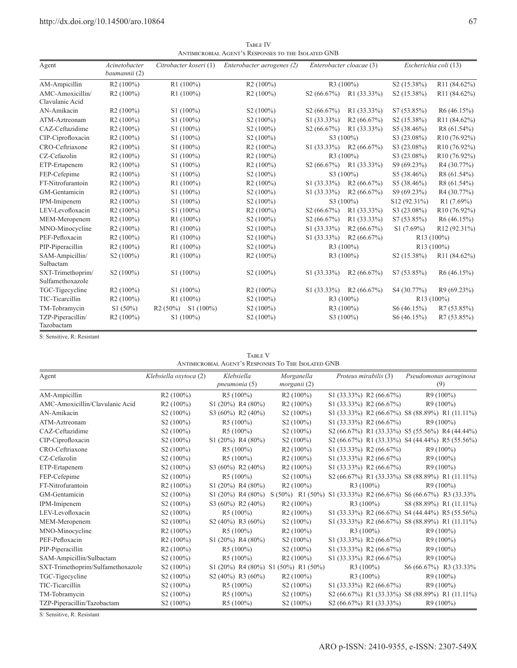| Agent                                 | Acinetobacter<br>baumannii (2) | Citrobacter koseri (1) | Enterobacter aerogenes (2) | Enterobacter cloacae (3)  |             | Escherichia coli (13)   |                          |  |
|---------------------------------------|--------------------------------|------------------------|----------------------------|---------------------------|-------------|-------------------------|--------------------------|--|
| AM-Ampicillin                         | R2(100%)                       | R1(100%)               | R2(100%)                   |                           | $R3(100\%)$ | S <sub>2</sub> (15.38%) | R <sub>11</sub> (84.62%) |  |
| AMC-Amoxicillin/                      | R2(100%)                       | R1(100%)               | R2(100%)                   | S <sub>2</sub> (66.67%)   | R1 (33.33%) | S <sub>2</sub> (15.38%) | R <sub>11</sub> (84.62%) |  |
| Clavulanic Acid                       |                                |                        |                            |                           |             |                         |                          |  |
| AN-Amikacin                           | R2(100%)                       | $S1(100\%)$            | $S2(100\%)$                | S2(66.67%)                | R1 (33.33%) | S7 (53.85%)             | R6(46.15%)               |  |
| ATM-Aztreonam                         | $R2(100\%)$                    | $S1(100\%)$            | S <sub>2</sub> (100%)      | S1 (33.33%)               | R2(66.67%)  | S <sub>2</sub> (15.38%) | R11 (84.62%)             |  |
| CAZ-Ceftazidime                       | $R2(100\%)$                    | $S1(100\%)$            | S <sub>2</sub> (100%)      | S <sub>2</sub> (66.67%)   | R1 (33.33%) | S5 (38.46%)             | R8(61.54%)               |  |
| CIP-Ciprofloxacin                     | R2(100%)                       | S1 (100%)              | $S2(100\%)$                |                           | S3 (100%)   | S3 (23.08%)             | R <sub>10</sub> (76.92%) |  |
| CRO-Ceftriaxone                       | $R2(100\%)$                    | $S1(100\%)$            | $R2(100\%)$                | $S1(33.33\%)$             | R2(66.67%)  | S3 (23.08%)             | R <sub>10</sub> (76.92%) |  |
| CZ-Cefazolin                          | R2(100%)                       | $S1(100\%)$            | R2(100%)                   |                           | $R3(100\%)$ | S3 (23.08%)             | R <sub>10</sub> (76.92%) |  |
| ETP-Ertapenem                         | $R2(100\%)$                    | $S1(100\%)$            | $R2(100\%)$                | S2(66.67%)                | R1 (33.33%) | S9 (69.23%)             | R4(30.77%)               |  |
| FEP-Cefepime                          | $R2(100\%)$                    | S1 (100%)              | S <sub>2</sub> (100%)      |                           | S3 (100%)   | S5 (38.46%)             | R8(61.54%)               |  |
| FT-Nitrofurantoin                     | R2(100%)                       | R1 (100%)              | R <sub>2</sub> (100%)      | S1 (33.33%)               | R2(66.67%)  | S5 (38.46%)             | R8 (61.54%)              |  |
| GM-Gentamicin                         | R2(100%)                       | $S1(100\%)$            | S <sub>2</sub> (100%)      | S1 (33.33%)               | R2(66.67%)  | S9 (69.23%)             | R4 (30.77%)              |  |
| IPM-Imipenem                          | R2(100%)                       | $S1(100\%)$            | S <sub>2</sub> (100%)      |                           | S3 (100%)   | S12 (92.31%)            | R1(7.69%)                |  |
| LEV-Levofloxacin                      | $R2(100\%)$                    | $S1(100\%)$            | $R2(100\%)$                | S2(66.67%)                | R1 (33.33%) | S3 (23.08%)             | R <sub>10</sub> (76.92%) |  |
| MEM-Meropenem                         | R2(100%)                       | R1 (100%)              | S <sub>2</sub> (100%)      | S2(66.67%)                | R1 (33.33%) | S7 (53.85%)             | R6(46.15%)               |  |
| MNO-Minocycline                       | R2(100%)                       | $R1(100\%)$            | S <sub>2</sub> (100%)      | S1 (33.33%)               | R2(66.67%)  | S1(7.69%)               | R12 (92.31%)             |  |
| PEF-Pefloxacin                        | $R2(100\%)$                    | $R1(100\%)$            | $S2(100\%)$                | S1 (33.33%)<br>R2(66.67%) |             | R <sub>13</sub> (100%)  |                          |  |
| PIP-Piperacillin                      | R <sub>2</sub> (100%)          | $R1(100\%)$            | S <sub>2</sub> (100%)      | R3 (100%)                 |             | R <sub>13</sub> (100%)  |                          |  |
| SAM-Ampicillin/<br>Sulbactam          | S <sub>2</sub> (100%)          | R1(100%)               | R2(100%)                   |                           | R3(100%)    | S <sub>2</sub> (15.38%) | R <sub>11</sub> (84.62%) |  |
| SXT-Trimethoprim/<br>Sulfamethoxazole | S <sub>2</sub> (100%)          | $S1(100\%)$            | S <sub>2</sub> (100%)      | $S1(33.33\%)$             | R2(66.67%)  | S7 (53.85%)             | R6(46.15%)               |  |
| TGC-Tigecycline                       | $R2(100\%)$                    | $S1(100\%)$            | $R2(100\%)$                | S1 (33.33%)               | R2(66.67%)  | S4 (30.77%)             | R9(69.23%)               |  |
| TIC-Ticarcillin                       | $R2(100\%)$                    | $R1(100\%)$            | S <sub>2</sub> (100%)      | $R3(100\%)$               |             | R <sub>13</sub> (100%)  |                          |  |
| TM-Tobramycin                         | S1(50%)                        | R2(50%)<br>$S1(100\%)$ | S <sub>2</sub> (100%)      |                           | $R3(100\%)$ | S6(46.15%)              | R7(53.85%)               |  |
| TZP-Piperacillin/                     | R2(100%)                       | $S1(100\%)$            | S <sub>2</sub> (100%)      |                           | S3 (100%)   | S6(46.15%)              | R7(53.85%)               |  |
| Tazobactam                            |                                |                        |                            |                           |             |                         |                          |  |

TABLE IV Antimicrobial Agent's Responses to the Isolated GNB

S: Sensitive, R: Resistant

Table V Antimicrobial Agent's Responses To The Isolated GNB

| Agent                             | Klebsiella oxytoca (2) | Klebsiella              | Morganella                            | Proteus mirabilis (3)                          | Pseudomonas aeruginosa                          |
|-----------------------------------|------------------------|-------------------------|---------------------------------------|------------------------------------------------|-------------------------------------------------|
|                                   |                        | pneumonia (5)           | morganii (2)                          |                                                | (9)                                             |
| AM-Ampicillin                     | R2(100%)               | R5(100%)                | $R2(100\%)$                           | S1 (33.33%) R2 (66.67%)                        | R9 (100%)                                       |
| AMC-Amoxicillin/Clavulanic Acid   | $R2(100\%)$            | $S1(20%)$ R4 $(80%)$    | $R2(100\%)$                           | $S1 (33.33\%) R2 (66.67\%)$                    | $R9(100\%)$                                     |
| AN-Amikacin                       | S <sub>2</sub> (100%)  | S3 (60%) R2 (40%)       | S <sub>2</sub> (100%)                 |                                                | S1 (33.33%) R2 (66.67%) S8 (88.89%) R1 (11.11%) |
| ATM-Aztreonam                     | S <sub>2</sub> (100%)  | $R5(100\%)$             | $S2(100\%)$                           | $S1 (33.33\%) R2 (66.67\%)$                    | $R9(100\%)$                                     |
| CAZ-Ceftazidime                   | S <sub>2</sub> (100%)  | $R5(100\%)$             | $S2(100\%)$                           |                                                | S2 (66.67%) R1 (33.33%) S5 (55.56%) R4 (44.44%) |
| CIP-Ciprofloxacin                 | S <sub>2</sub> (100%)  | $S1(20%)$ R4 $(80%)$    | $S2(100\%)$                           |                                                | S2 (66.67%) R1 (33.33%) S4 (44.44%) R5 (55.56%) |
| CRO-Ceftriaxone                   | $S2(100\%)$            | $R5(100\%)$             | $R2(100\%)$                           | $S1 (33.33\%) R2 (66.67\%)$                    | $R9(100\%)$                                     |
| CZ-Cefazolin                      | S2 (100%)              | $R5(100\%)$             | $R2(100\%)$                           | $S1(33.33\%) R2(66.67\%)$                      | $R9(100\%)$                                     |
| ETP-Ertapenem                     | S <sub>2</sub> (100%)  | S3 (60%) R2 (40%)       | $R2(100\%)$                           | S1 (33.33%) R2 (66.67%)                        | $R9(100\%)$                                     |
| FEP-Cefepime                      | S <sub>2</sub> (100%)  | $R5(100\%)$             | $S2(100\%)$                           |                                                | S2 (66.67%) R1 (33.33%) S8 (88.89%) R1 (11.11%) |
| FT-Nitrofurantoin                 | $R2(100\%)$            | $S1(20%)$ R4 (80%)      | $R2(100\%)$                           | $R3(100\%)$                                    | $R9(100\%)$                                     |
| GM-Gentamicin                     | S <sub>2</sub> (100%)  | $S1(20\%) R4(80\%)$     | $S(50\%)$ R1 $(50\%)$                 | S1 (33.33%) R2 (66.67%) S6 (66.67%) R3 (33.33% |                                                 |
| IPM-Imipenem                      | S <sub>2</sub> (100%)  | S3 $(60\%)$ R2 $(40\%)$ | $R2(100\%)$                           | $R3(100\%)$                                    | S8 (88.89%) R1 (11.11%)                         |
| LEV-Levofloxacin                  | S2 (100%)              | $R5(100\%)$             | $R2(100\%)$                           |                                                | S1 (33.33%) R2 (66.67%) S4 (44.44%) R5 (55.56%) |
| MEM-Meropenem                     | S <sub>2</sub> (100%)  | $S2(40\%)$ R3 (60%)     | $S2(100\%)$                           |                                                | S1 (33.33%) R2 (66.67%) S8 (88.89%) R1 (11.11%) |
| MNO-Minocycline                   | R2(100%)               | $R5(100\%)$             | $R2(100\%)$                           | $R3(100\%)$                                    | $R9(100\%)$                                     |
| PEF-Pefloxacin                    | R2(100%)               | $S1(20%)$ R4 $(80%)$    | $S2(100\%)$                           | $S1(33.33\%) R2(66.67\%)$                      | $R9(100\%)$                                     |
| PIP-Piperacillin                  | R2(100%)               | $R5(100\%)$             | S <sub>2</sub> (100%)                 | $S1(33.33\%) R2(66.67\%)$                      | R9 (100%)                                       |
| SAM-Ampicillin/Sulbactam          | S <sub>2</sub> (100%)  | R5(100%)                | R2(100%)                              | $S1(33.33\%) R2(66.67\%)$                      | R9 (100%)                                       |
| SXT-Trimethoprim/Sulfamethoxazole | S <sub>2</sub> (100%)  |                         | $S1(20\%)$ R4 (80%) S1 (50%) R1 (50%) | $R3(100\%)$                                    | S6 (66.67%) R3 (33.33%)                         |
| TGC-Tigecycline                   | $S2(100\%)$            | $S2(40\%)$ R3 $(60\%)$  | $R2(100\%)$                           | $R3(100\%)$                                    | $R9(100\%)$                                     |
| TIC-Ticarcillin                   | S <sub>2</sub> (100%)  | $R5(100\%)$             | $S2(100\%)$                           | $S1(33.33\%) R2(66.67\%)$                      | $R9(100\%)$                                     |
| TM-Tobramycin                     | S <sub>2</sub> (100%)  | $R5(100\%)$             | S <sub>2</sub> (100%)                 |                                                | S2 (66.67%) R1 (33.33%) S8 (88.89%) R1 (11.11%) |
| TZP-Piperacillin/Tazobactam       | S <sub>2</sub> (100%)  | $R5(100\%)$             | $S2(100\%)$                           | S2 (66.67%) R1 (33.33%)                        | $R9(100\%)$                                     |

S: Sensitive, R: Resistant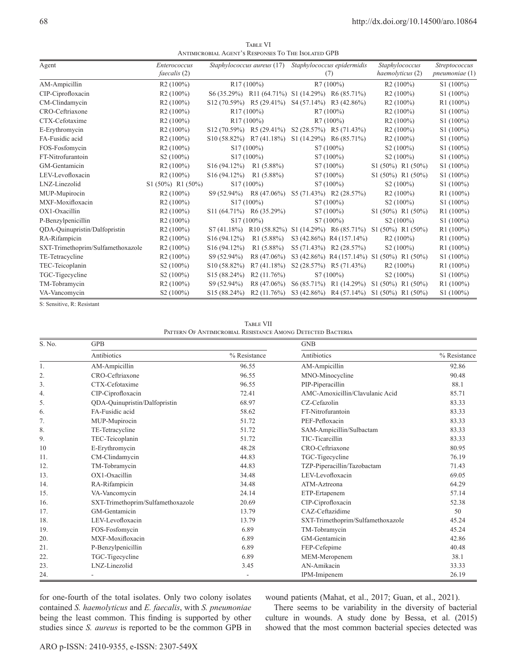TABLE VI Antimicrobial Agent's Responses To The Isolated GPB

| Agent                             | Enterococcus          |                           | Staphylococcus aureus (17)                       | Staphylococcus epidermidis |                            | Staphylococcus                                                     | <b>Streptococcus</b> |
|-----------------------------------|-----------------------|---------------------------|--------------------------------------------------|----------------------------|----------------------------|--------------------------------------------------------------------|----------------------|
|                                   | faecalis (2)          |                           |                                                  | (7)                        |                            | haemolyticus (2)                                                   | $p$ neumoniae $(1)$  |
| AM-Ampicillin                     | $R2(100\%)$           |                           | $R17(100\%)$                                     | R7(100%)                   |                            | $R2(100\%)$                                                        | $S1(100\%)$          |
| CIP-Ciprofloxacin                 | $R2(100\%)$           |                           | S6 (35.29%) R11 (64.71%) S1 (14.29%) R6 (85.71%) |                            |                            | R2(100%)                                                           | S1 (100%)            |
| CM-Clindamycin                    | $R2(100\%)$           |                           | $S12(70.59%)$ R5 (29.41%)                        |                            | $S4(57.14\%)$ R3 (42.86%)  | $R2(100\%)$                                                        | $R1(100\%)$          |
| CRO-Ceftriaxone                   | $R2(100\%)$           |                           | R17(100%)                                        |                            | $R7(100\%)$                | $R2(100\%)$                                                        | S1 (100%)            |
| CTX-Cefotaxime                    | R2(100%)              |                           | $R17(100\%)$                                     |                            | R7(100%)                   | R2(100%)                                                           | S1 (100%)            |
| E-Erythromycin                    | $R2(100\%)$           |                           | $S12(70.59%)$ R5 (29.41%)                        |                            | $S2(28.57%)$ R5 $(71.43%)$ | $R2(100\%)$                                                        | $S1(100\%)$          |
| FA-Fusidic acid                   | $R2(100\%)$           |                           | $S10(58.82%)$ R7 (41.18%)                        |                            | $S1(14.29%)$ R6 $(85.71%)$ | $R2(100\%)$                                                        | $S1(100\%)$          |
| FOS-Fosfomycin                    | $R2(100\%)$           |                           | S <sub>17</sub> (100%)                           | S7 (100%)                  |                            | $S2(100\%)$                                                        | $S1(100\%)$          |
| FT-Nitrofurantoin                 | S <sub>2</sub> (100%) |                           | S <sub>17</sub> (100%)                           | S7 (100%)                  |                            | S <sub>2</sub> (100%)                                              | S1 (100%)            |
| GM-Gentamicin                     | $R2(100\%)$           | $S16(94.12\%)$            | R1(5.88%)                                        |                            | S7 (100%)                  | $S1(50\%) R1(50\%)$                                                | S1 (100%)            |
| LEV-Levofloxacin                  | $R2(100\%)$           | $S16 (94.12%)$ R1 (5.88%) |                                                  |                            | $S7(100\%)$                | $S1(50\%) R1(50\%)$                                                | $S1(100\%)$          |
| LNZ-Linezolid                     | $S1(50\%) R1(50\%)$   |                           | S17 (100%)                                       |                            | S7 (100%)                  | S <sub>2</sub> (100%)                                              | $S1(100\%)$          |
| MUP-Mupirocin                     | $R2(100\%)$           |                           | $S9(52.94\%)$ R8 (47.06%)                        |                            | $S5(71.43%)$ R2 (28.57%)   | $R2(100\%)$                                                        | R1(100%)             |
| MXF-Moxifloxacin                  | $R2(100\%)$           |                           | S <sub>17</sub> (100%)                           |                            | S7 (100%)                  | $S2(100\%)$                                                        | S1 (100%)            |
| OX1-Oxacillin                     | R2(100%)              |                           | S11 (64.71%) R6 (35.29%)                         |                            | S7 (100%)                  | $S1(50\%) R1(50\%)$                                                | $R1(100\%)$          |
| P-Benzylpenicillin                | $R2(100\%)$           |                           | S <sub>17</sub> (100%)                           |                            | $S7(100\%)$                | S <sub>2</sub> (100%)                                              | $S1(100\%)$          |
| QDA-Quinupristin/Dalfopristin     | $R2(100\%)$           |                           |                                                  |                            |                            | S7 (41.18%) R10 (58.82%) S1 (14.29%) R6 (85.71%) S1 (50%) R1 (50%) | $R1(100\%)$          |
| RA-Rifampicin                     | $R2(100\%)$           | S16(94.12%)               | $R1(5.88\%)$                                     |                            | S3 (42.86%) R4 (157.14%)   | $R2(100\%)$                                                        | R1(100%)             |
| SXT-Trimethoprim/Sulfamethoxazole | $R2(100\%)$           | S <sub>16</sub> (94.12%)  | $R1(5.88\%)$                                     |                            | $S5(71.43%)$ R2 (28.57%)   | S <sub>2</sub> (100%)                                              | R1(100%)             |
| TE-Tetracycline                   | $R2(100\%)$           | S9 (52.94%)               | R8 (47.06%)                                      |                            |                            | S3 (42.86%) R4 (157.14%) S1 (50%) R1 (50%)                         | $S1(100\%)$          |
| TEC-Teicoplanin                   | S <sub>2</sub> (100%) | S <sub>10</sub> (58.82%)  | R7(41.18%)                                       |                            | $S2(28.57%)$ R5 (71.43%)   | $R2(100\%)$                                                        | $R1(100\%)$          |
| TGC-Tigecycline                   | S <sub>2</sub> (100%) | S <sub>15</sub> (88.24%)  | R2(11.76%)                                       |                            | S7 (100%)                  | $S2(100\%)$                                                        | $S1(100\%)$          |
| TM-Tobramycin                     | $R2(100\%)$           | S9 (52.94%)               | R8 (47.06%)                                      |                            | $S6(85.71\%)$ R1 (14.29%)  | $S1 (50\%) R1 (50\%)$                                              | $R1(100\%)$          |
| VA-Vancomycin                     | S <sub>2</sub> (100%) | S <sub>15</sub> (88.24%)  | R <sub>2</sub> (11.76%)                          |                            |                            | S3 (42.86%) R4 (57.14%) S1 (50%) R1 (50%)                          | $S1(100\%)$          |

S: Sensitive, R: Resistant

TABLE VII Pattern Of Antimicrobial Resistance Among Detected Bacteria

| S. No. | <b>GPB</b>                        |              | <b>GNB</b>                        |              |  |
|--------|-----------------------------------|--------------|-----------------------------------|--------------|--|
|        | Antibiotics                       | % Resistance | Antibiotics                       | % Resistance |  |
| 1.     | AM-Ampicillin                     | 96.55        | AM-Ampicillin                     | 92.86        |  |
| 2.     | CRO-Ceftriaxone                   | 96.55        | MNO-Minocycline                   | 90.48        |  |
| 3.     | CTX-Cefotaxime                    | 96.55        | PIP-Piperacillin                  | 88.1         |  |
| 4.     | CIP-Ciprofloxacin                 | 72.41        | AMC-Amoxicillin/Clavulanic Acid   | 85.71        |  |
| 5.     | QDA-Quinupristin/Dalfopristin     | 68.97        | CZ-Cefazolin                      | 83.33        |  |
| 6.     | FA-Fusidic acid                   | 58.62        | FT-Nitrofurantoin                 | 83.33        |  |
| 7.     | MUP-Mupirocin                     | 51.72        | PEF-Pefloxacin                    | 83.33        |  |
| 8.     | TE-Tetracycline                   | 51.72        | SAM-Ampicillin/Sulbactam          | 83.33        |  |
| 9.     | TEC-Teicoplanin                   | 51.72        | TIC-Ticarcillin                   | 83.33        |  |
| 10     | E-Erythromycin                    | 48.28        | CRO-Ceftriaxone                   | 80.95        |  |
| 11.    | CM-Clindamycin                    | 44.83        | TGC-Tigecycline                   | 76.19        |  |
| 12.    | TM-Tobramycin                     | 44.83        | TZP-Piperacillin/Tazobactam       | 71.43        |  |
| 13.    | OX1-Oxacillin                     | 34.48        | LEV-Levofloxacin                  | 69.05        |  |
| 14.    | RA-Rifampicin                     | 34.48        | ATM-Aztreona                      | 64.29        |  |
| 15.    | VA-Vancomycin                     | 24.14        | ETP-Ertapenem                     | 57.14        |  |
| 16.    | SXT-Trimethoprim/Sulfamethoxazole | 20.69        | CIP-Ciprofloxacin                 | 52.38        |  |
| 17.    | GM-Gentamicin                     | 13.79        | CAZ-Ceftazidime                   | 50           |  |
| 18.    | LEV-Levofloxacin                  | 13.79        | SXT-Trimethoprim/Sulfamethoxazole | 45.24        |  |
| 19.    | FOS-Fosfomycin                    | 6.89         | TM-Tobramycin                     | 45.24        |  |
| 20.    | MXF-Moxifloxacin                  | 6.89         | GM-Gentamicin                     | 42.86        |  |
| 21.    | P-Benzylpenicillin                | 6.89         | FEP-Cefepime                      | 40.48        |  |
| 22.    | TGC-Tigecycline                   | 6.89         | MEM-Meropenem                     | 38.1         |  |
| 23.    | LNZ-Linezolid                     | 3.45         | AN-Amikacin                       | 33.33        |  |
| 24.    |                                   |              | IPM-Imipenem                      | 26.19        |  |

for one-fourth of the total isolates. Only two colony isolates contained *S. haemolyticus* and *E. faecalis*, with *S. pneumoniae* being the least common. This finding is supported by other studies since *S. aureus* is reported to be the common GPB in wound patients (Mahat, et al., 2017; Guan, et al., 2021).

There seems to be variability in the diversity of bacterial culture in wounds. A study done by Bessa, et al. (2015) showed that the most common bacterial species detected was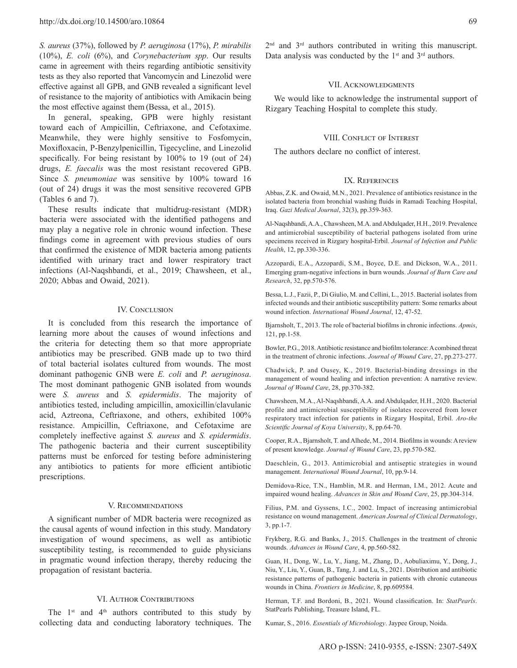*S. aureus* (37%), followed by *P. aeruginosa* (17%), *P. mirabilis* (10%), *E. coli* (6%), and *Corynebacterium spp*. Our results came in agreement with theirs regarding antibiotic sensitivity tests as they also reported that Vancomycin and Linezolid were effective against all GPB, and GNB revealed a significant level of resistance to the majority of antibiotics with Amikacin being the most effective against them (Bessa, et al., 2015).

In general, speaking, GPB were highly resistant toward each of Ampicillin, Ceftriaxone, and Cefotaxime. Meanwhile, they were highly sensitive to Fosfomycin, Moxifloxacin, P-Benzylpenicillin, Tigecycline, and Linezolid specifically. For being resistant by 100% to 19 (out of 24) drugs, *E. faecalis* was the most resistant recovered GPB. Since *S. pneumoniae* was sensitive by 100% toward 16 (out of 24) drugs it was the most sensitive recovered GPB (Tables 6 and 7).

These results indicate that multidrug-resistant (MDR) bacteria were associated with the identified pathogens and may play a negative role in chronic wound infection. These findings come in agreement with previous studies of ours that confirmed the existence of MDR bacteria among patients identified with urinary tract and lower respiratory tract infections (Al-Naqshbandi, et al., 2019; Chawsheen, et al., 2020; Abbas and Owaid, 2021).

## IV. CONCLUSION

It is concluded from this research the importance of learning more about the causes of wound infections and the criteria for detecting them so that more appropriate antibiotics may be prescribed. GNB made up to two third of total bacterial isolates cultured from wounds. The most dominant pathogenic GNB were *E. coli* and *P. aeruginosa*. The most dominant pathogenic GNB isolated from wounds were *S. aureus* and *S. epidermidis*. The majority of antibiotics tested, including ampicillin, amoxicillin/clavulanic acid, Aztreona, Ceftriaxone, and others, exhibited 100% resistance. Ampicillin, Ceftriaxone, and Cefotaxime are completely ineffective against *S. aureus* and *S. epidermidis*. The pathogenic bacteria and their current susceptibility patterns must be enforced for testing before administering any antibiotics to patients for more efficient antibiotic prescriptions.

#### V. Recommendations

A significant number of MDR bacteria were recognized as the causal agents of wound infection in this study. Mandatory investigation of wound specimens, as well as antibiotic susceptibility testing, is recommended to guide physicians in pragmatic wound infection therapy, thereby reducing the propagation of resistant bacteria.

## VI. Author Contributions

The  $1^{st}$  and  $4^{th}$  authors contributed to this study by collecting data and conducting laboratory techniques. The 2<sup>nd</sup> and 3<sup>rd</sup> authors contributed in writing this manuscript. Data analysis was conducted by the  $1<sup>st</sup>$  and  $3<sup>rd</sup>$  authors.

## VII. Acknowledgments

We would like to acknowledge the instrumental support of Rizgary Teaching Hospital to complete this study.

#### VIII. Conflict of Interest

The authors declare no conflict of interest.

## IX. References

Abbas, Z.K. and Owaid, M.N., 2021. Prevalence of antibiotics resistance in the isolated bacteria from bronchial washing fluids in Ramadi Teaching Hospital, Iraq. *Gazi Medical Journal*, 32(3), pp.359-363.

Al-Naqshbandi, A.A., Chawsheen, M.A. and Abdulqader, H.H., 2019. Prevalence and antimicrobial susceptibility of bacterial pathogens isolated from urine specimens received in Rizgary hospital-Erbil. *Journal of Infection and Public Health*, 12, pp.330-336.

Azzopardi, E.A., Azzopardi, S.M., Boyce, D.E. and Dickson, W.A., 2011. Emerging gram-negative infections in burn wounds. *Journal of Burn Care and Research*, 32, pp.570-576.

Bessa, L.J., Fazii, P., Di Giulio, M. and Cellini, L., 2015. Bacterial isolates from infected wounds and their antibiotic susceptibility pattern: Some remarks about wound infection. *International Wound Journal*, 12, 47-52.

Bjarnsholt, T., 2013. The role of bacterial biofilms in chronic infections. *Apmis*, 121, pp.1-58.

Bowler, P.G., 2018. Antibiotic resistance and biofilm tolerance: Acombined threat in the treatment of chronic infections. *Journal of Wound Care*, 27, pp.273-277.

Chadwick, P. and Ousey, K., 2019. Bacterial-binding dressings in the management of wound healing and infection prevention: A narrative review. *Journal of Wound Care*, 28, pp.370-382.

Chawsheen, M.A., Al-Naqshbandi, A.A. and Abdulqader, H.H., 2020. Bacterial profile and antimicrobial susceptibility of isolates recovered from lower respiratory tract infection for patients in Rizgary Hospital, Erbil. *Aro-the Scientific Journal of Koya University*, 8, pp.64-70.

Cooper, R.A., Bjarnsholt, T. and Alhede, M., 2014. Biofilms in wounds: Areview of present knowledge. *Journal of Wound Care*, 23, pp.570-582.

Daeschlein, G., 2013. Antimicrobial and antiseptic strategies in wound management. *International Wound Journal*, 10, pp.9-14.

Demidova-Rice, T.N., Hamblin, M.R. and Herman, I.M., 2012. Acute and impaired wound healing. *Advances in Skin and Wound Care*, 25, pp.304-314.

Filius, P.M. and Gyssens, I.C., 2002. Impact of increasing antimicrobial resistance on wound management. *American Journal of Clinical Dermatology*, 3, pp.1-7.

Frykberg, R.G. and Banks, J., 2015. Challenges in the treatment of chronic wounds. *Advances in Wound Care*, 4, pp.560-582.

Guan, H., Dong, W., Lu, Y., Jiang, M., Zhang, D., Aobuliaximu, Y., Dong, J., Niu, Y., Liu, Y., Guan, B., Tang, J. and Lu, S., 2021. Distribution and antibiotic resistance patterns of pathogenic bacteria in patients with chronic cutaneous wounds in China. *Frontiers in Medicine*, 8, pp.609584.

Herman, T.F. and Bordoni, B., 2021. Wound classification. In: *StatPearls*. StatPearls Publishing, Treasure Island, FL.

Kumar, S., 2016. *Essentials of Microbiology*. Jaypee Group, Noida.